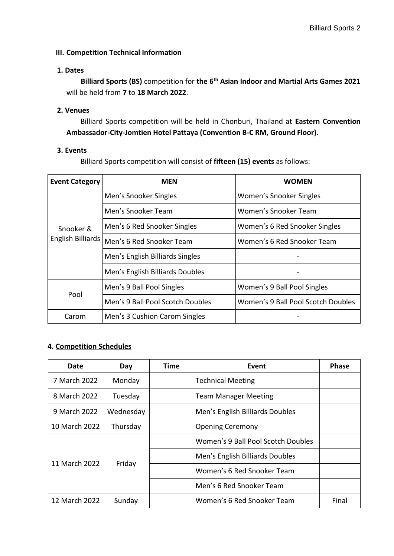## **III. Competition Technical Information**

#### **1. Dates**

**Billiard Sports (BS)** competition for **the 6th Asian Indoor and Martial Arts Games 2021** will be held from **7** to **18 March 2022**.

## **2. Venues**

Billiard Sports competition will be held in Chonburi, Thailand at **Eastern Convention Ambassador-City-Jomtien Hotel Pattaya (Convention B-C RM, Ground Floor)**.

## **3. Events**

Billiard Sports competition will consist of **fifteen (15) events** as follows:

| <b>Event Category</b>          | <b>MEN</b>                       | <b>WOMEN</b>                       |  |
|--------------------------------|----------------------------------|------------------------------------|--|
| Snooker &<br>English Billiards | Men's Snooker Singles            | Women's Snooker Singles            |  |
|                                | Men's Snooker Team               | Women's Snooker Team               |  |
|                                | Men's 6 Red Snooker Singles      | Women's 6 Red Snooker Singles      |  |
|                                | Men's 6 Red Snooker Team         | Women's 6 Red Snooker Team         |  |
|                                | Men's English Billiards Singles  |                                    |  |
|                                | Men's English Billiards Doubles  |                                    |  |
| Pool                           | Men's 9 Ball Pool Singles        | Women's 9 Ball Pool Singles        |  |
|                                | Men's 9 Ball Pool Scotch Doubles | Women's 9 Ball Pool Scotch Doubles |  |
| Carom                          | Men's 3 Cushion Carom Singles    |                                    |  |

# **4. Competition Schedules**

| Date          | Day       | Time | Event                              | <b>Phase</b> |
|---------------|-----------|------|------------------------------------|--------------|
| 7 March 2022  | Monday    |      | <b>Technical Meeting</b>           |              |
| 8 March 2022  | Tuesday   |      | <b>Team Manager Meeting</b>        |              |
| 9 March 2022  | Wednesday |      | Men's English Billiards Doubles    |              |
| 10 March 2022 | Thursday  |      | <b>Opening Ceremony</b>            |              |
| 11 March 2022 | Friday    |      | Women's 9 Ball Pool Scotch Doubles |              |
|               |           |      | Men's English Billiards Doubles    |              |
|               |           |      | Women's 6 Red Snooker Team         |              |
|               |           |      | Men's 6 Red Snooker Team           |              |
| 12 March 2022 | Sunday    |      | Women's 6 Red Snooker Team         | Final        |